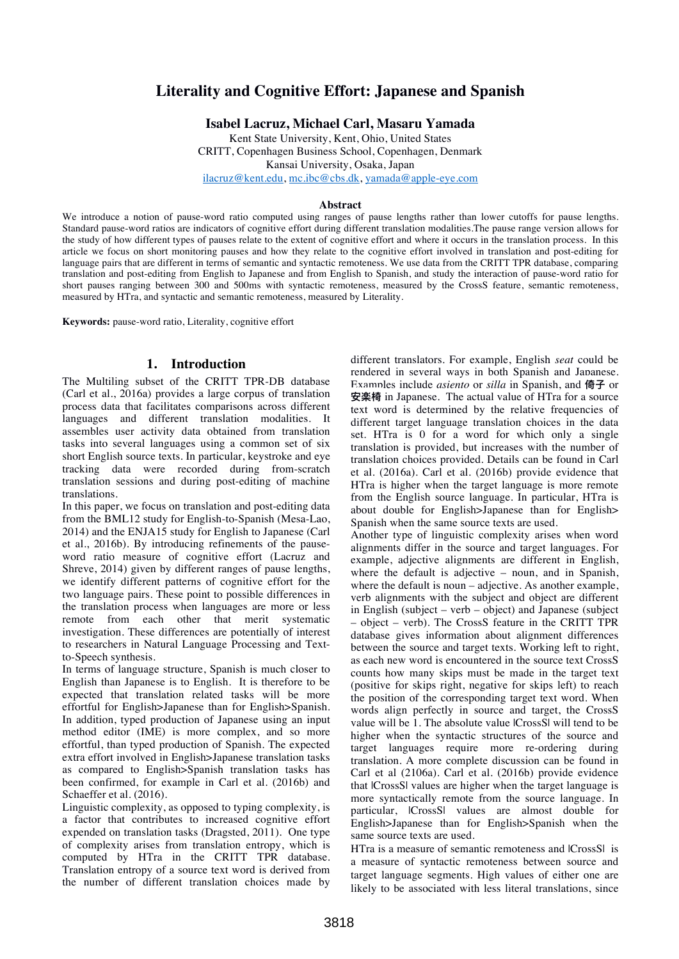# **Literality and Cognitive Effort: Japanese and Spanish**

**Isabel Lacruz, Michael Carl, Masaru Yamada**

Kent State University, Kent, Ohio, United States CRITT, Copenhagen Business School, Copenhagen, Denmark Kansai University, Osaka, Japan

ilacruz@kent.edu, mc.ibc@cbs.dk, yamada@apple-eye.com

#### **Abstract**

We introduce a notion of pause-word ratio computed using ranges of pause lengths rather than lower cutoffs for pause lengths. Standard pause-word ratios are indicators of cognitive effort during different translation modalities.The pause range version allows for the study of how different types of pauses relate to the extent of cognitive effort and where it occurs in the translation process. In this article we focus on short monitoring pauses and how they relate to the cognitive effort involved in translation and post-editing for language pairs that are different in terms of semantic and syntactic remoteness. We use data from the CRITT TPR database, comparing translation and post-editing from English to Japanese and from English to Spanish, and study the interaction of pause-word ratio for short pauses ranging between 300 and 500ms with syntactic remoteness, measured by the CrossS feature, semantic remoteness, measured by HTra, and syntactic and semantic remoteness, measured by Literality.

**Keywords:** pause-word ratio, Literality, cognitive effort

# **1. Introduction**

The Multiling subset of the CRITT TPR-DB database (Carl et al., 2016a) provides a large corpus of translation process data that facilitates comparisons across different languages and different translation modalities. It assembles user activity data obtained from translation tasks into several languages using a common set of six short English source texts. In particular, keystroke and eye tracking data were recorded during from-scratch translation sessions and during post-editing of machine translations.

In this paper, we focus on translation and post-editing data from the BML12 study for English-to-Spanish (Mesa-Lao, 2014) and the ENJA15 study for English to Japanese (Carl et al., 2016b). By introducing refinements of the pauseword ratio measure of cognitive effort (Lacruz and Shreve, 2014) given by different ranges of pause lengths, we identify different patterns of cognitive effort for the two language pairs. These point to possible differences in the translation process when languages are more or less remote from each other that merit systematic investigation. These differences are potentially of interest to researchers in Natural Language Processing and Textto-Speech synthesis.

In terms of language structure, Spanish is much closer to English than Japanese is to English. It is therefore to be expected that translation related tasks will be more effortful for English>Japanese than for English>Spanish. In addition, typed production of Japanese using an input method editor (IME) is more complex, and so more effortful, than typed production of Spanish. The expected extra effort involved in English>Japanese translation tasks as compared to English>Spanish translation tasks has been confirmed, for example in Carl et al. (2016b) and Schaeffer et al. (2016).

Linguistic complexity, as opposed to typing complexity, is a factor that contributes to increased cognitive effort expended on translation tasks (Dragsted, 2011). One type of complexity arises from translation entropy, which is computed by HTra in the CRITT TPR database. Translation entropy of a source text word is derived from the number of different translation choices made by

different translators. For example, English *seat* could be rendered in several ways in both Spanish and Japanese. Examples include *asiento* or *silla* in Spanish, and 倚子 or **ਞ䮭༗** in Japanese. The actual value of HTra for a source text word is determined by the relative frequencies of different target language translation choices in the data set. HTra is 0 for a word for which only a single translation is provided, but increases with the number of translation choices provided. Details can be found in Carl et al. (2016a). Carl et al. (2016b) provide evidence that HTra is higher when the target language is more remote from the English source language. In particular, HTra is about double for English>Japanese than for English> Spanish when the same source texts are used.

Another type of linguistic complexity arises when word alignments differ in the source and target languages. For example, adjective alignments are different in English, where the default is adjective – noun, and in Spanish, where the default is noun – adjective. As another example, verb alignments with the subject and object are different in English (subject – verb – object) and Japanese (subject – object – verb). The CrossS feature in the CRITT TPR database gives information about alignment differences between the source and target texts. Working left to right, as each new word is encountered in the source text CrossS counts how many skips must be made in the target text (positive for skips right, negative for skips left) to reach the position of the corresponding target text word. When words align perfectly in source and target, the CrossS value will be 1. The absolute value |CrossS| will tend to be higher when the syntactic structures of the source and target languages require more re-ordering during translation. A more complete discussion can be found in Carl et al (2106a). Carl et al. (2016b) provide evidence that |CrossS| values are higher when the target language is more syntactically remote from the source language. In particular, |CrossS| values are almost double for English>Japanese than for English>Spanish when the same source texts are used.

HTra is a measure of semantic remoteness and lCrossSl is a measure of syntactic remoteness between source and target language segments. High values of either one are likely to be associated with less literal translations, since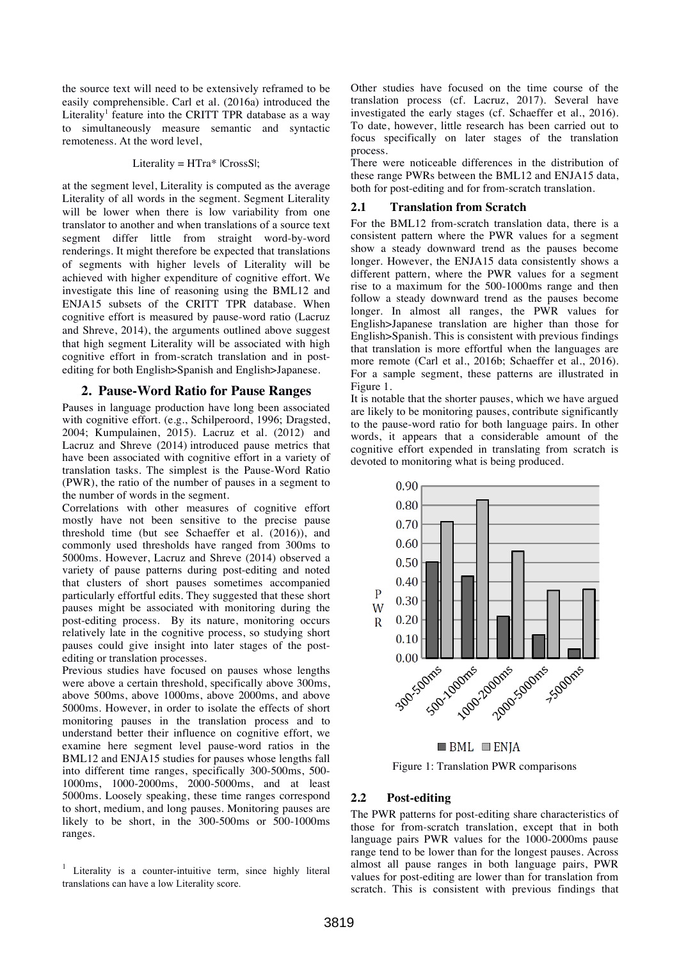the source text will need to be extensively reframed to be easily comprehensible. Carl et al. (2016a) introduced the Literality<sup>1</sup> feature into the CRITT TPR database as a way to simultaneously measure semantic and syntactic remoteness. At the word level,

#### Literality = HTra\* |CrossS|;

at the segment level, Literality is computed as the average Literality of all words in the segment. Segment Literality will be lower when there is low variability from one translator to another and when translations of a source text segment differ little from straight word-by-word renderings. It might therefore be expected that translations of segments with higher levels of Literality will be achieved with higher expenditure of cognitive effort. We investigate this line of reasoning using the BML12 and ENJA15 subsets of the CRITT TPR database. When cognitive effort is measured by pause-word ratio (Lacruz and Shreve, 2014), the arguments outlined above suggest that high segment Literality will be associated with high cognitive effort in from-scratch translation and in postediting for both English>Spanish and English>Japanese.

#### **2. Pause-Word Ratio for Pause Ranges**

Pauses in language production have long been associated with cognitive effort. (e.g., Schilperoord, 1996; Dragsted, 2004; Kumpulainen, 2015). Lacruz et al. (2012) and Lacruz and Shreve (2014) introduced pause metrics that have been associated with cognitive effort in a variety of translation tasks. The simplest is the Pause-Word Ratio (PWR), the ratio of the number of pauses in a segment to the number of words in the segment.

Correlations with other measures of cognitive effort mostly have not been sensitive to the precise pause threshold time (but see Schaeffer et al. (2016)), and commonly used thresholds have ranged from 300ms to 5000ms. However, Lacruz and Shreve (2014) observed a variety of pause patterns during post-editing and noted that clusters of short pauses sometimes accompanied particularly effortful edits. They suggested that these short pauses might be associated with monitoring during the post-editing process. By its nature, monitoring occurs relatively late in the cognitive process, so studying short pauses could give insight into later stages of the postediting or translation processes.

Previous studies have focused on pauses whose lengths were above a certain threshold, specifically above 300ms, above 500ms, above 1000ms, above 2000ms, and above 5000ms. However, in order to isolate the effects of short monitoring pauses in the translation process and to understand better their influence on cognitive effort, we examine here segment level pause-word ratios in the BML12 and ENJA15 studies for pauses whose lengths fall into different time ranges, specifically 300-500ms, 500- 1000ms, 1000-2000ms, 2000-5000ms, and at least 5000ms. Loosely speaking, these time ranges correspond to short, medium, and long pauses. Monitoring pauses are likely to be short, in the 300-500ms or 500-1000ms ranges.

Other studies have focused on the time course of the translation process (cf. Lacruz, 2017). Several have investigated the early stages (cf. Schaeffer et al., 2016). To date, however, little research has been carried out to focus specifically on later stages of the translation process.

There were noticeable differences in the distribution of these range PWRs between the BML12 and ENJA15 data, both for post-editing and for from-scratch translation.

#### **2.1 Translation from Scratch**

For the BML12 from-scratch translation data, there is a consistent pattern where the PWR values for a segment show a steady downward trend as the pauses become longer. However, the ENJA15 data consistently shows a different pattern, where the PWR values for a segment rise to a maximum for the 500-1000ms range and then follow a steady downward trend as the pauses become longer. In almost all ranges, the PWR values for English>Japanese translation are higher than those for English>Spanish. This is consistent with previous findings that translation is more effortful when the languages are more remote (Carl et al., 2016b; Schaeffer et al., 2016). For a sample segment, these patterns are illustrated in Figure 1.

It is notable that the shorter pauses, which we have argued are likely to be monitoring pauses, contribute significantly to the pause-word ratio for both language pairs. In other words, it appears that a considerable amount of the cognitive effort expended in translating from scratch is devoted to monitoring what is being produced.



Figure 1: Translation PWR comparisons

#### **2.2 Post-editing**

The PWR patterns for post-editing share characteristics of those for from-scratch translation, except that in both language pairs PWR values for the 1000-2000ms pause range tend to be lower than for the longest pauses. Across almost all pause ranges in both language pairs, PWR values for post-editing are lower than for translation from scratch. This is consistent with previous findings that

<sup>&</sup>lt;sup>1</sup> Literality is a counter-intuitive term, since highly literal translations can have a low Literality score.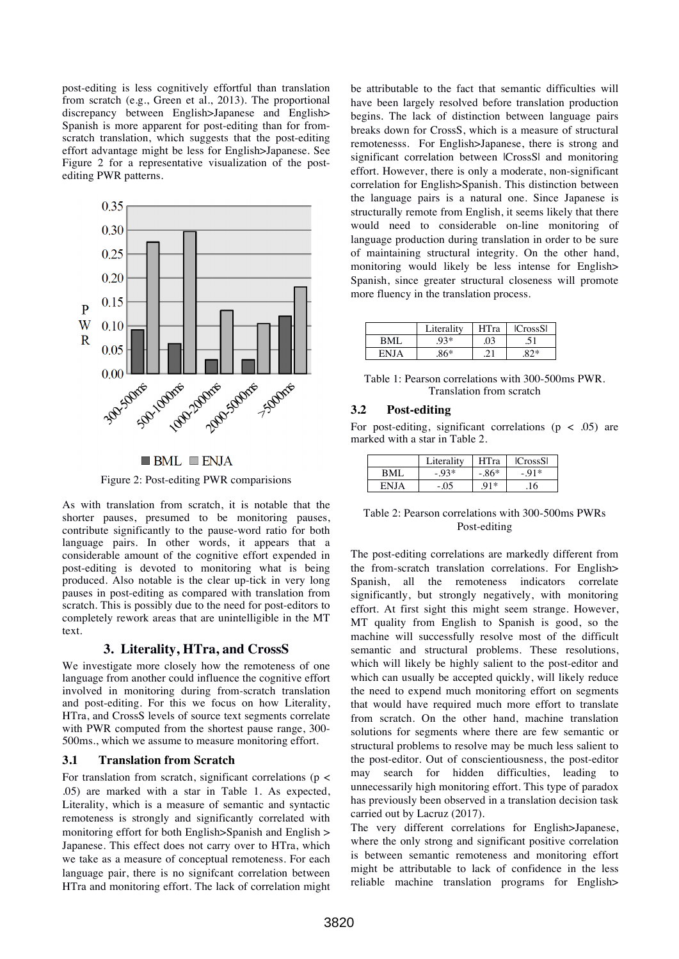post-editing is less cognitively effortful than translation from scratch (e.g., Green et al., 2013). The proportional discrepancy between English>Japanese and English> Spanish is more apparent for post-editing than for fromscratch translation, which suggests that the post-editing effort advantage might be less for English>Japanese. See Figure 2 for a representative visualization of the postediting PWR patterns.



 $\blacksquare$  BML  $\blacksquare$  ENJA

Figure 2: Post-editing PWR comparisions

As with translation from scratch, it is notable that the shorter pauses, presumed to be monitoring pauses, contribute significantly to the pause-word ratio for both language pairs. In other words, it appears that a considerable amount of the cognitive effort expended in post-editing is devoted to monitoring what is being produced. Also notable is the clear up-tick in very long pauses in post-editing as compared with translation from scratch. This is possibly due to the need for post-editors to completely rework areas that are unintelligible in the MT text.

## **3. Literality, HTra, and CrossS**

We investigate more closely how the remoteness of one language from another could influence the cognitive effort involved in monitoring during from-scratch translation and post-editing. For this we focus on how Literality, HTra, and CrossS levels of source text segments correlate with PWR computed from the shortest pause range, 300- 500ms., which we assume to measure monitoring effort.

### **3.1 Translation from Scratch**

For translation from scratch, significant correlations (p < .05) are marked with a star in Table 1. As expected, Literality, which is a measure of semantic and syntactic remoteness is strongly and significantly correlated with monitoring effort for both English>Spanish and English > Japanese. This effect does not carry over to HTra, which we take as a measure of conceptual remoteness. For each language pair, there is no signifcant correlation between HTra and monitoring effort. The lack of correlation might be attributable to the fact that semantic difficulties will have been largely resolved before translation production begins. The lack of distinction between language pairs breaks down for CrossS, which is a measure of structural remotenesss. For English>Japanese, there is strong and significant correlation between |CrossS| and monitoring effort. However, there is only a moderate, non-significant correlation for English>Spanish. This distinction between the language pairs is a natural one. Since Japanese is structurally remote from English, it seems likely that there would need to considerable on-line monitoring of language production during translation in order to be sure of maintaining structural integrity. On the other hand, monitoring would likely be less intense for English> Spanish, since greater structural closeness will promote more fluency in the translation process.

|             | Literality | HTra | CrossS     |
|-------------|------------|------|------------|
| BMI         | 93*        | 03   |            |
| <b>ENIA</b> | 86*        |      | $Q \cap *$ |

Table 1: Pearson correlations with 300-500ms PWR. Translation from scratch

### **3.2 Post-editing**

For post-editing, significant correlations ( $p < .05$ ) are marked with a star in Table 2.

|     | Literality | <b>HTra</b> | CrossS |
|-----|------------|-------------|--------|
| BMI | $-93*$     | $.86*$      | $-91*$ |
| EN. | - 05       | $Q1*$       | 16     |

| Table 2: Pearson correlations with 300-500ms PWRs |  |
|---------------------------------------------------|--|
| Post-editing                                      |  |

The post-editing correlations are markedly different from the from-scratch translation correlations. For English> Spanish, all the remoteness indicators correlate significantly, but strongly negatively, with monitoring effort. At first sight this might seem strange. However, MT quality from English to Spanish is good, so the machine will successfully resolve most of the difficult semantic and structural problems. These resolutions, which will likely be highly salient to the post-editor and which can usually be accepted quickly, will likely reduce the need to expend much monitoring effort on segments that would have required much more effort to translate from scratch. On the other hand, machine translation solutions for segments where there are few semantic or structural problems to resolve may be much less salient to the post-editor. Out of conscientiousness, the post-editor may search for hidden difficulties, leading to unnecessarily high monitoring effort. This type of paradox has previously been observed in a translation decision task carried out by Lacruz (2017).

The very different correlations for English>Japanese, where the only strong and significant positive correlation is between semantic remoteness and monitoring effort might be attributable to lack of confidence in the less reliable machine translation programs for English>